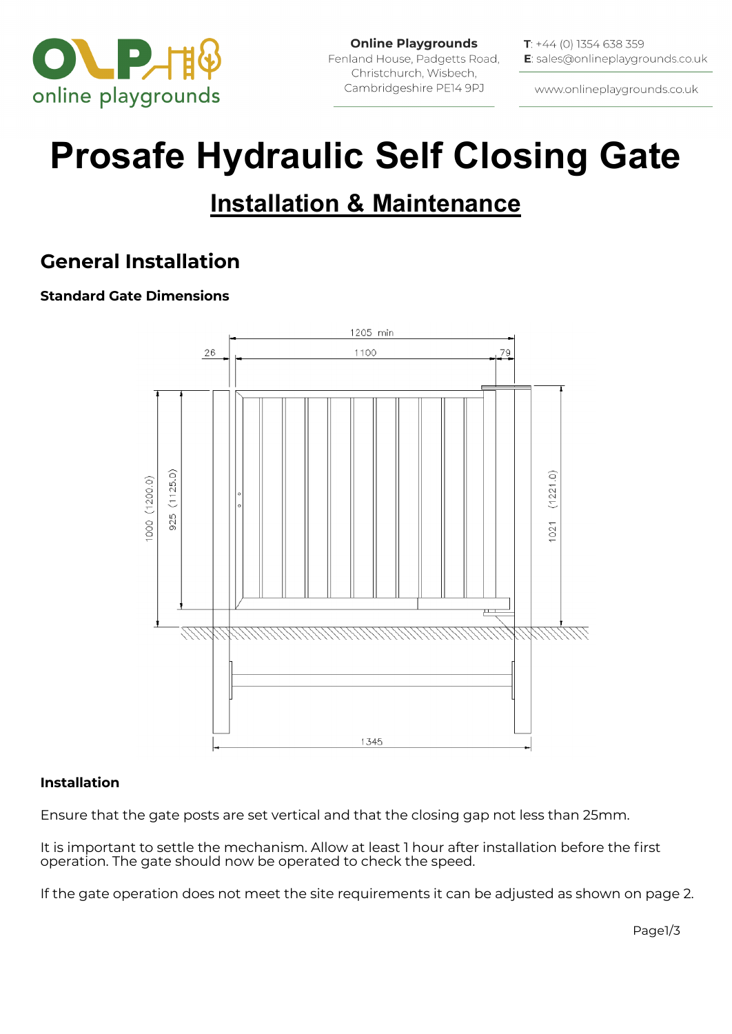

**Online Playgrounds** Fenland House, Padgetts Road, Christchurch, Wisbech, Cambridgeshire PE14 9PJ

**T**:  $+44$  (0) 1354 638 359 E: sales@onlineplaygrounds.co.uk

www.onlineplaygrounds.co.uk

# **Prosafe Hydraulic Self Closing Gate**

## **Installation & Maintenance**

## **General Installation**

#### **Standard Gate Dimensions**



#### **Installation**

Ensure that the gate posts are set vertical and that the closing gap not less than 25mm.

It is important to settle the mechanism. Allow at least 1 hour after installation before the first operation. The gate should now be operated to check the speed.

If the gate operation does not meet the site requirements it can be adjusted as shown on page 2.

Page1/3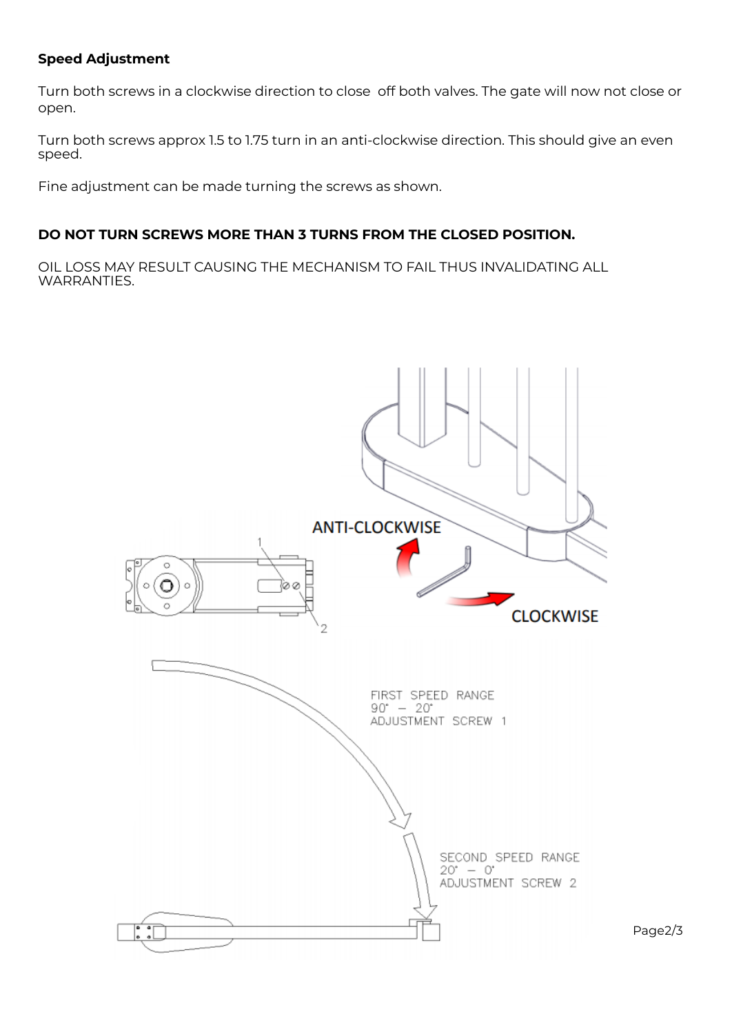#### **Speed Adjustment**

Turn both screws in a clockwise direction to close off both valves. The gate will now not close or open.

Turn both screws approx 1.5 to 1.75 turn in an anti-clockwise direction. This should give an even speed.

Fine adjustment can be made turning the screws as shown.

#### **DO NOT TURN SCREWS MORE THAN 3 TURNS FROM THE CLOSED POSITION.**

OIL LOSS MAY RESULT CAUSING THE MECHANISM TO FAIL THUS INVALIDATING ALL WARRANTIES.